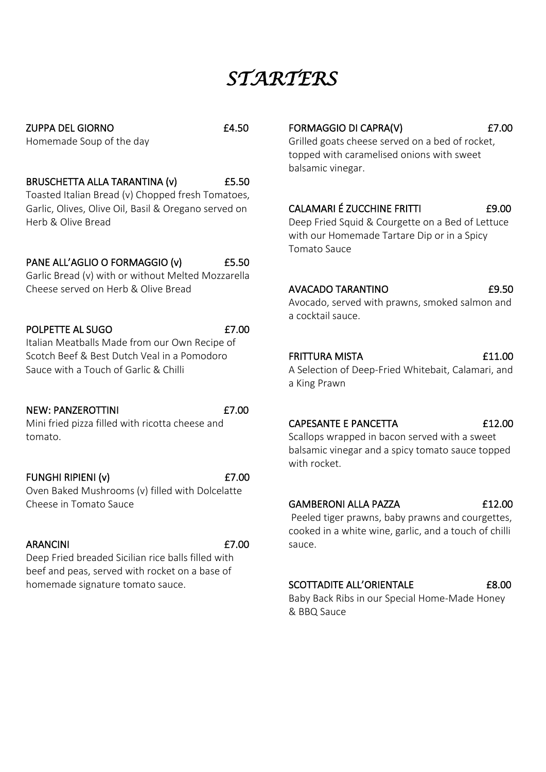# *STARTERS*

ZUPPA DEL GIORNO £4.50 Homemade Soup of the day

## BRUSCHETTA ALLA TARANTINA (v) £5.50

Toasted Italian Bread (v) Chopped fresh Tomatoes, Garlic, Olives, Olive Oil, Basil & Oregano served on Herb & Olive Bread

# PANE ALL'AGLIO O FORMAGGIO (v) £5.50

Garlic Bread (v) with or without Melted Mozzarella Cheese served on Herb & Olive Bread

## POLPETTE AL SUGO **E7.00**

Italian Meatballs Made from our Own Recipe of Scotch Beef & Best Dutch Veal in a Pomodoro Sauce with a Touch of Garlic & Chilli

# NEW: PANZEROTTINI 67.00

Mini fried pizza filled with ricotta cheese and tomato.

# FUNGHI RIPIENI (v) 67.00

Oven Baked Mushrooms (v) filled with Dolcelatte Cheese in Tomato Sauce

# ARANCINI  $E7.00$

Deep Fried breaded Sicilian rice balls filled with beef and peas, served with rocket on a base of homemade signature tomato sauce.

# FORMAGGIO DI CAPRA(V) 67.00

Grilled goats cheese served on a bed of rocket, topped with caramelised onions with sweet balsamic vinegar.

## CALAMARI É ZUCCHINE FRITTI £9.00

Deep Fried Squid & Courgette on a Bed of Lettuce with our Homemade Tartare Dip or in a Spicy Tomato Sauce

### AVACADO TARANTINO£9.50

Avocado, served with prawns, smoked salmon and a cocktail sauce.

#### FRITTURA MISTA **E11.00**

A Selection of Deep-Fried Whitebait, Calamari, and a King Prawn

## CAPESANTE E PANCETTA £12.00

Scallops wrapped in bacon served with a sweet balsamic vinegar and a spicy tomato sauce topped with rocket.

### GAMBERONI ALLA PAZZA £12.00

Peeled tiger prawns, baby prawns and courgettes, cooked in a white wine, garlic, and a touch of chilli sauce.

## SCOTTADITE ALL'ORIENTALE 68.00

Baby Back Ribs in our Special Home-Made Honey & BBQ Sauce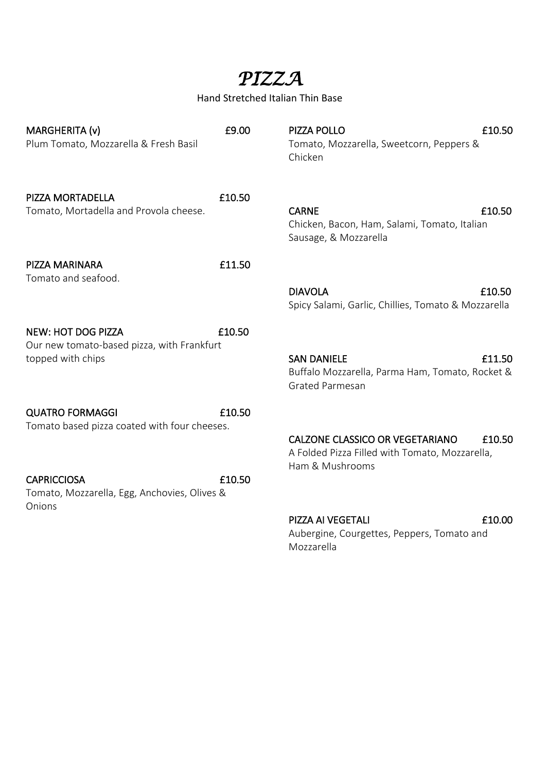# *PIZZA*

Hand Stretched Italian Thin Base

| MARGHERITA (v)<br>Plum Tomato, Mozzarella & Fresh Basil                                      | £9.00  | PIZZA POLLO<br>Tomato, Mozzarella, Sweetcorn, Peppers &<br>Chicken                                          | £10.50 |
|----------------------------------------------------------------------------------------------|--------|-------------------------------------------------------------------------------------------------------------|--------|
| PIZZA MORTADELLA<br>Tomato, Mortadella and Provola cheese.                                   | £10.50 | <b>CARNE</b><br>Chicken, Bacon, Ham, Salami, Tomato, Italian<br>Sausage, & Mozzarella                       | £10.50 |
| PIZZA MARINARA                                                                               | £11.50 |                                                                                                             |        |
| Tomato and seafood.                                                                          |        | <b>DIAVOLA</b><br>Spicy Salami, Garlic, Chillies, Tomato & Mozzarella                                       | £10.50 |
| <b>NEW: HOT DOG PIZZA</b><br>Our new tomato-based pizza, with Frankfurt<br>topped with chips | £10.50 | <b>SAN DANIELE</b><br>Buffalo Mozzarella, Parma Ham, Tomato, Rocket &<br><b>Grated Parmesan</b>             | £11.50 |
| <b>QUATRO FORMAGGI</b>                                                                       | £10.50 |                                                                                                             |        |
| Tomato based pizza coated with four cheeses.                                                 |        | <b>CALZONE CLASSICO OR VEGETARIANO</b><br>A Folded Pizza Filled with Tomato, Mozzarella,<br>Ham & Mushrooms | £10.50 |
| <b>CAPRICCIOSA</b><br>Tomato, Mozzarella, Egg, Anchovies, Olives &<br>Onions                 | £10.50 |                                                                                                             |        |
|                                                                                              |        | PIZZA AI VEGETALI<br>Aubergine, Courgettes, Peppers, Tomato and<br>Mozzarella                               | £10.00 |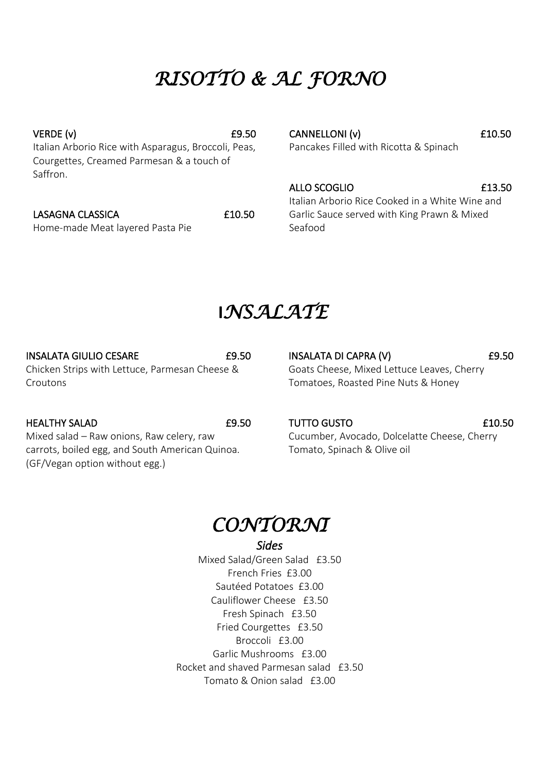# *RISOTTO & AL FORNO*

 $VERDE (v)$   $E9.50$ Italian Arborio Rice with Asparagus, Broccoli, Peas, Courgettes, Creamed Parmesan & a touch of Saffron.

#### LASAGNA CLASSICA £10.50

Home-made Meat layered Pasta Pie

CANNELLONI (v) 610.50 Pancakes Filled with Ricotta & Spinach

ALLO SCOGLIO **E13.50** 

Italian Arborio Rice Cooked in a White Wine and Garlic Sauce served with King Prawn & Mixed Seafood

# **I***NSALATE*

#### INSALATA GIULIO CESARE £9.50

Chicken Strips with Lettuce, Parmesan Cheese & Croutons

HEALTHY SALAD £9.50

Mixed salad – Raw onions, Raw celery, raw carrots, boiled egg, and South American Quinoa. (GF/Vegan option without egg.)

INSALATA DI CAPRA (V) 69.50 Goats Cheese, Mixed Lettuce Leaves, Cherry Tomatoes, Roasted Pine Nuts & Honey

TUTTO GUSTO £10.50

Cucumber, Avocado, Dolcelatte Cheese, Cherry Tomato, Spinach & Olive oil



#### *Sides*

Mixed Salad/Green Salad £3.50 French Fries £3.00 Sautéed Potatoes £3.00 Cauliflower Cheese £3.50 Fresh Spinach £3.50 Fried Courgettes £3.50 Broccoli £3.00 Garlic Mushrooms £3.00 Rocket and shaved Parmesan salad £3.50 Tomato & Onion salad £3.00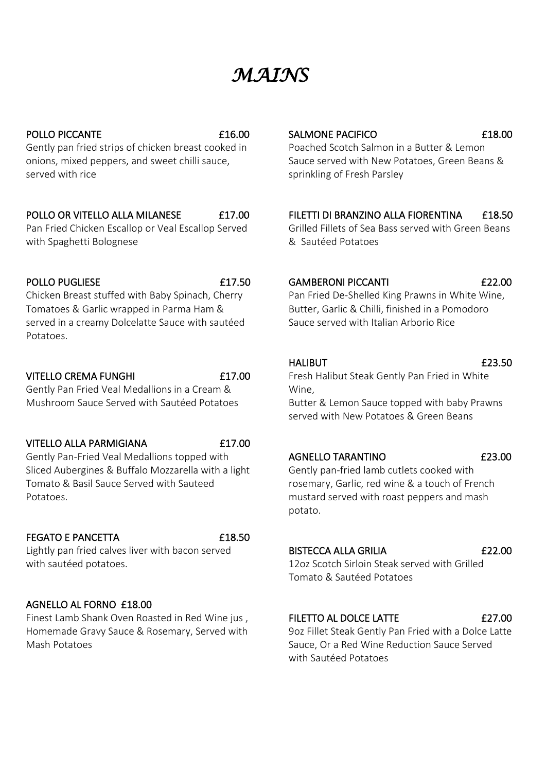# *MAINS*

#### POLLO PICCANTE 616.00

Gently pan fried strips of chicken breast cooked in onions, mixed peppers, and sweet chilli sauce, served with rice

## POLLO OR VITELLO ALLA MILANESE **E17.00**

Pan Fried Chicken Escallop or Veal Escallop Served with Spaghetti Bolognese

#### POLLO PUGLIESE **E17.50**

Chicken Breast stuffed with Baby Spinach, Cherry Tomatoes & Garlic wrapped in Parma Ham & served in a creamy Dolcelatte Sauce with sautéed Potatoes.

### VITELLO CREMA FUNGHI **E17.00**

Gently Pan Fried Veal Medallions in a Cream & Mushroom Sauce Served with Sautéed Potatoes

#### VITELLO ALLA PARMIGIANA £17.00

Gently Pan-Fried Veal Medallions topped with Sliced Aubergines & Buffalo Mozzarella with a light Tomato & Basil Sauce Served with Sauteed Potatoes.

### FEGATO E PANCETTA **E18.50**

Lightly pan fried calves liver with bacon served with sautéed potatoes.

# AGNELLO AL FORNO £18.00

Finest Lamb Shank Oven Roasted in Red Wine jus , Homemade Gravy Sauce & Rosemary, Served with Mash Potatoes

# SALMONE PACIFICO **618.00**

Poached Scotch Salmon in a Butter & Lemon Sauce served with New Potatoes, Green Beans & sprinkling of Fresh Parsley

## FILETTI DI BRANZINO ALLA FIORENTINA £18.50

Grilled Fillets of Sea Bass served with Green Beans & Sautéed Potatoes

#### GAMBERONI PICCANTI 622.00

Pan Fried De-Shelled King Prawns in White Wine, Butter, Garlic & Chilli, finished in a Pomodoro Sauce served with Italian Arborio Rice

#### HALIBUT **E23.50**

#### Fresh Halibut Steak Gently Pan Fried in White Wine,

Butter & Lemon Sauce topped with baby Prawns served with New Potatoes & Green Beans

#### AGNELLO TARANTINO £23.00

Gently pan-fried lamb cutlets cooked with rosemary, Garlic, red wine & a touch of French mustard served with roast peppers and mash potato.

### BISTECCA ALLA GRILIA £22.00

12oz Scotch Sirloin Steak served with Grilled Tomato & Sautéed Potatoes

### FILETTO AL DOLCE LATTE 627.00

9oz Fillet Steak Gently Pan Fried with a Dolce Latte Sauce, Or a Red Wine Reduction Sauce Served with Sautéed Potatoes